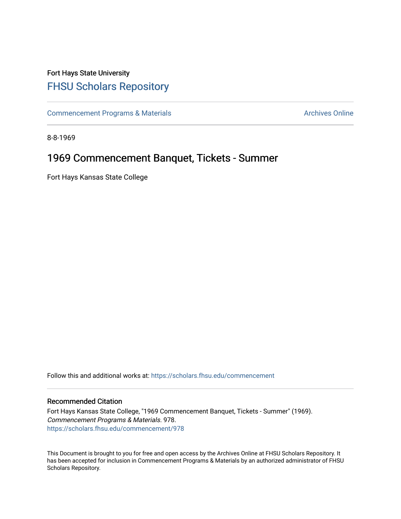## Fort Hays State University [FHSU Scholars Repository](https://scholars.fhsu.edu/)

[Commencement Programs & Materials](https://scholars.fhsu.edu/commencement) **Archives Online** Archives Online

8-8-1969

## 1969 Commencement Banquet, Tickets - Summer

Fort Hays Kansas State College

Follow this and additional works at: [https://scholars.fhsu.edu/commencement](https://scholars.fhsu.edu/commencement?utm_source=scholars.fhsu.edu%2Fcommencement%2F978&utm_medium=PDF&utm_campaign=PDFCoverPages)

#### Recommended Citation

Fort Hays Kansas State College, "1969 Commencement Banquet, Tickets - Summer" (1969). Commencement Programs & Materials. 978. [https://scholars.fhsu.edu/commencement/978](https://scholars.fhsu.edu/commencement/978?utm_source=scholars.fhsu.edu%2Fcommencement%2F978&utm_medium=PDF&utm_campaign=PDFCoverPages)

This Document is brought to you for free and open access by the Archives Online at FHSU Scholars Repository. It has been accepted for inclusion in Commencement Programs & Materials by an authorized administrator of FHSU Scholars Repository.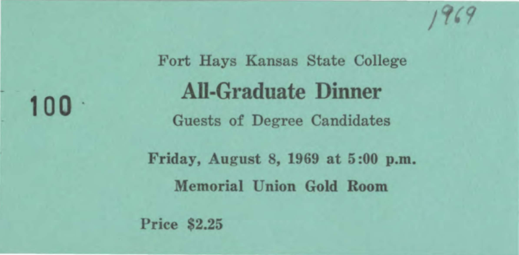**100 ·** 

Fort Hays Kansas State College **All-Graduate Dinner**  Guests of Degree Candidates Friday, August 8, 1969 at 5 :00 p.m. Memorial Union Gold Room Price \$2.25

 $1969$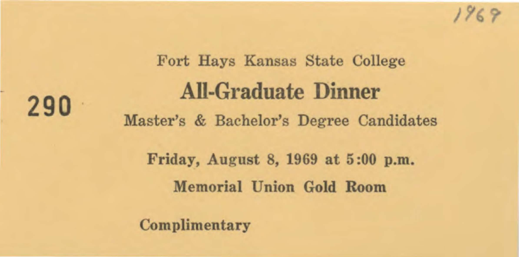

# Fort Hays Kansas State College **AIi-Graduate Dinner**  Master's & Bachelor's Degree Candidates Friday, August 8, 1969 at 5 :00 p.m. Memorial Union Gold Room

Complimentary

**290**